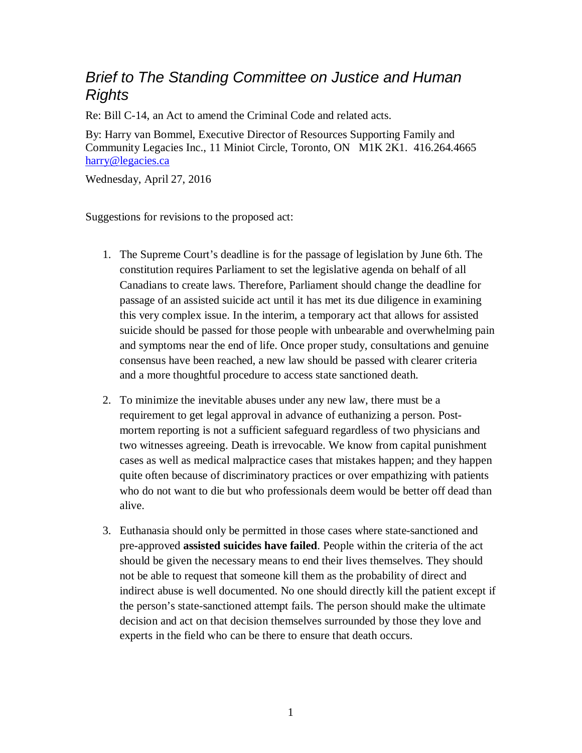## *Brief to The Standing Committee on Justice and Human Rights*

Re: Bill C-14, an Act to amend the Criminal Code and related acts.

By: Harry van Bommel, Executive Director of Resources Supporting Family and Community Legacies Inc., 11 Miniot Circle, Toronto, ON M1K 2K1. 416.264.4665 [harry@legacies.ca](mailto:harry@legacies.ca)

Wednesday, April 27, 2016

Suggestions for revisions to the proposed act:

- 1. The Supreme Court's deadline is for the passage of legislation by June 6th. The constitution requires Parliament to set the legislative agenda on behalf of all Canadians to create laws. Therefore, Parliament should change the deadline for passage of an assisted suicide act until it has met its due diligence in examining this very complex issue. In the interim, a temporary act that allows for assisted suicide should be passed for those people with unbearable and overwhelming pain and symptoms near the end of life. Once proper study, consultations and genuine consensus have been reached, a new law should be passed with clearer criteria and a more thoughtful procedure to access state sanctioned death.
- 2. To minimize the inevitable abuses under any new law, there must be a requirement to get legal approval in advance of euthanizing a person. Postmortem reporting is not a sufficient safeguard regardless of two physicians and two witnesses agreeing. Death is irrevocable. We know from capital punishment cases as well as medical malpractice cases that mistakes happen; and they happen quite often because of discriminatory practices or over empathizing with patients who do not want to die but who professionals deem would be better off dead than alive.
- 3. Euthanasia should only be permitted in those cases where state-sanctioned and pre-approved **assisted suicides have failed**. People within the criteria of the act should be given the necessary means to end their lives themselves. They should not be able to request that someone kill them as the probability of direct and indirect abuse is well documented. No one should directly kill the patient except if the person's state-sanctioned attempt fails. The person should make the ultimate decision and act on that decision themselves surrounded by those they love and experts in the field who can be there to ensure that death occurs.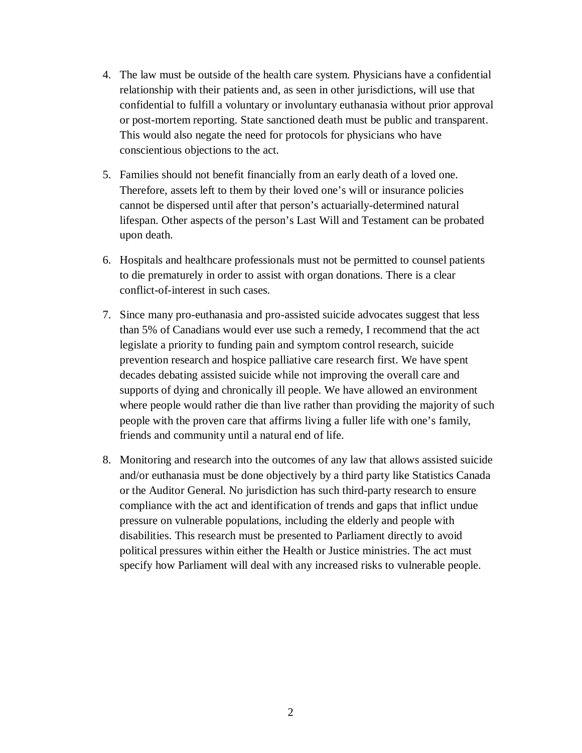- 4. The law must be outside of the health care system. Physicians have a confidential relationship with their patients and, as seen in other jurisdictions, will use that confidential to fulfill a voluntary or involuntary euthanasia without prior approval or post-mortem reporting. State sanctioned death must be public and transparent. This would also negate the need for protocols for physicians who have conscientious objections to the act.
- 5. Families should not benefit financially from an early death of a loved one. Therefore, assets left to them by their loved one's will or insurance policies cannot be dispersed until after that person's actuarially-determined natural lifespan. Other aspects of the person's Last Will and Testament can be probated upon death.
- 6. Hospitals and healthcare professionals must not be permitted to counsel patients to die prematurely in order to assist with organ donations. There is a clear conflict-of-interest in such cases.
- 7. Since many pro-euthanasia and pro-assisted suicide advocates suggest that less than 5% of Canadians would ever use such a remedy, I recommend that the act legislate a priority to funding pain and symptom control research, suicide prevention research and hospice palliative care research first. We have spent decades debating assisted suicide while not improving the overall care and supports of dying and chronically ill people. We have allowed an environment where people would rather die than live rather than providing the majority of such people with the proven care that affirms living a fuller life with one's family, friends and community until a natural end of life.
- 8. Monitoring and research into the outcomes of any law that allows assisted suicide and/or euthanasia must be done objectively by a third party like Statistics Canada or the Auditor General. No jurisdiction has such third-party research to ensure compliance with the act and identification of trends and gaps that inflict undue pressure on vulnerable populations, including the elderly and people with disabilities. This research must be presented to Parliament directly to avoid political pressures within either the Health or Justice ministries. The act must specify how Parliament will deal with any increased risks to vulnerable people.